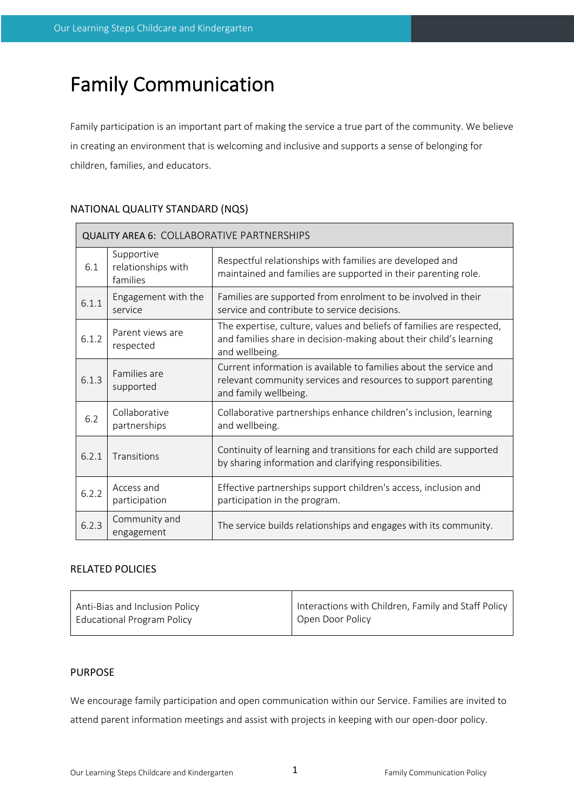# Family Communication

Family participation is an important part of making the service a true part of the community. We believe in creating an environment that is welcoming and inclusive and supports a sense of belonging for children, families, and educators.

# NATIONAL QUALITY STANDARD (NQS)

| <b>QUALITY AREA 6: COLLABORATIVE PARTNERSHIPS</b> |                                              |                                                                                                                                                               |  |  |  |
|---------------------------------------------------|----------------------------------------------|---------------------------------------------------------------------------------------------------------------------------------------------------------------|--|--|--|
| 6.1                                               | Supportive<br>relationships with<br>families | Respectful relationships with families are developed and<br>maintained and families are supported in their parenting role.                                    |  |  |  |
| 6.1.1                                             | Engagement with the<br>service               | Families are supported from enrolment to be involved in their<br>service and contribute to service decisions.                                                 |  |  |  |
| 6.1.2                                             | Parent views are<br>respected                | The expertise, culture, values and beliefs of families are respected,<br>and families share in decision-making about their child's learning<br>and wellbeing. |  |  |  |
| 6.1.3                                             | Families are<br>supported                    | Current information is available to families about the service and<br>relevant community services and resources to support parenting<br>and family wellbeing. |  |  |  |
| 6.2                                               | Collaborative<br>partnerships                | Collaborative partnerships enhance children's inclusion, learning<br>and wellbeing.                                                                           |  |  |  |
| 6.2.1                                             | Transitions                                  | Continuity of learning and transitions for each child are supported<br>by sharing information and clarifying responsibilities.                                |  |  |  |
| 6.2.2                                             | Access and<br>participation                  | Effective partnerships support children's access, inclusion and<br>participation in the program.                                                              |  |  |  |
| 6.2.3                                             | Community and<br>engagement                  | The service builds relationships and engages with its community.                                                                                              |  |  |  |

# RELATED POLICIES

| Anti-Bias and Inclusion Policy    | Interactions with Children, Family and Staff Policy |
|-----------------------------------|-----------------------------------------------------|
| <b>Educational Program Policy</b> | Open Door Policy                                    |
|                                   |                                                     |

# PURPOSE

We encourage family participation and open communication within our Service. Families are invited to attend parent information meetings and assist with projects in keeping with our open-door policy.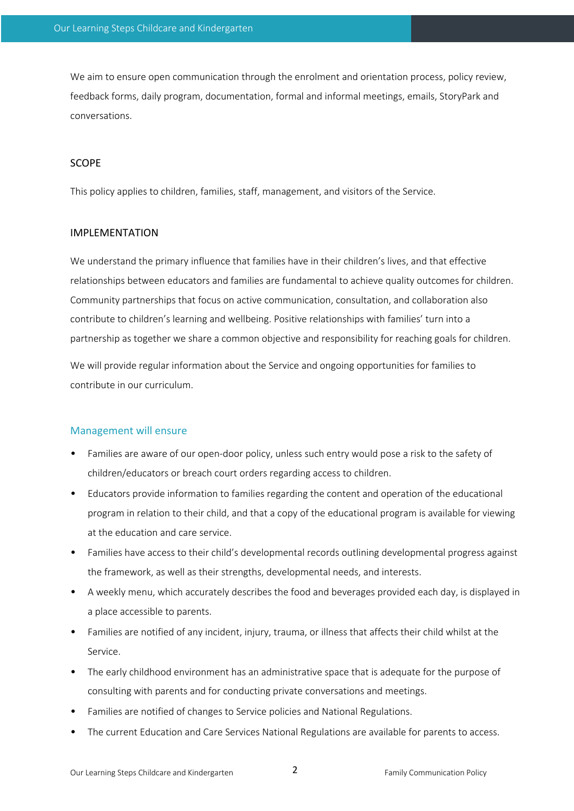We aim to ensure open communication through the enrolment and orientation process, policy review, feedback forms, daily program, documentation, formal and informal meetings, emails, StoryPark and conversations.

## SCOPE

This policy applies to children, families, staff, management, and visitors of the Service.

## IMPLEMENTATION

We understand the primary influence that families have in their children's lives, and that effective relationships between educators and families are fundamental to achieve quality outcomes for children. Community partnerships that focus on active communication, consultation, and collaboration also contribute to children's learning and wellbeing. Positive relationships with families' turn into a partnership as together we share a common objective and responsibility for reaching goals for children.

We will provide regular information about the Service and ongoing opportunities for families to contribute in our curriculum.

#### Management will ensure

- Families are aware of our open-door policy, unless such entry would pose a risk to the safety of children/educators or breach court orders regarding access to children.
- Educators provide information to families regarding the content and operation of the educational program in relation to their child, and that a copy of the educational program is available for viewing at the education and care service.
- Families have access to their child's developmental records outlining developmental progress against the framework, as well as their strengths, developmental needs, and interests.
- A weekly menu, which accurately describes the food and beverages provided each day, is displayed in a place accessible to parents.
- Families are notified of any incident, injury, trauma, or illness that affects their child whilst at the Service.
- The early childhood environment has an administrative space that is adequate for the purpose of consulting with parents and for conducting private conversations and meetings.
- Families are notified of changes to Service policies and National Regulations.
- The current Education and Care Services National Regulations are available for parents to access.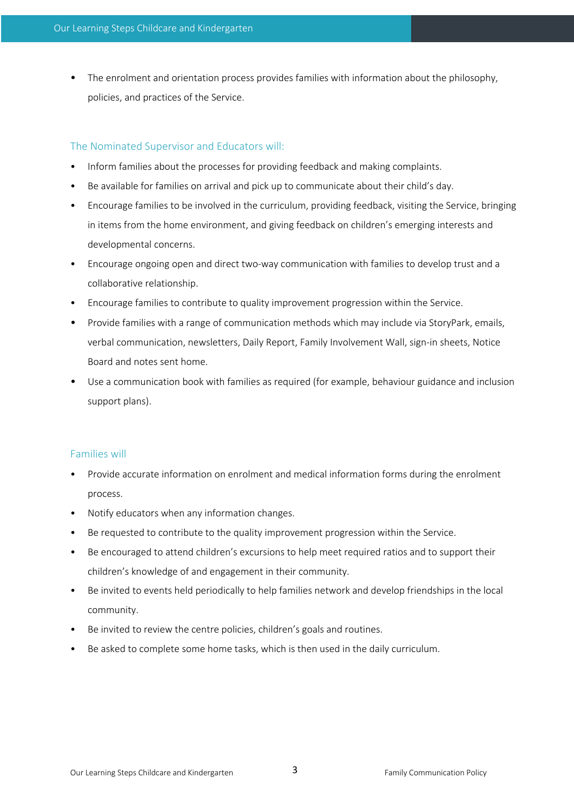• The enrolment and orientation process provides families with information about the philosophy, policies, and practices of the Service.

# The Nominated Supervisor and Educators will:

- Inform families about the processes for providing feedback and making complaints.
- Be available for families on arrival and pick up to communicate about their child's day.
- Encourage families to be involved in the curriculum, providing feedback, visiting the Service, bringing in items from the home environment, and giving feedback on children's emerging interests and developmental concerns.
- Encourage ongoing open and direct two-way communication with families to develop trust and a collaborative relationship.
- Encourage families to contribute to quality improvement progression within the Service.
- Provide families with a range of communication methods which may include via StoryPark, emails, verbal communication, newsletters, Daily Report, Family Involvement Wall, sign-in sheets, Notice Board and notes sent home.
- Use a communication book with families as required (for example, behaviour guidance and inclusion support plans).

## Families will

- Provide accurate information on enrolment and medical information forms during the enrolment process.
- Notify educators when any information changes.
- Be requested to contribute to the quality improvement progression within the Service.
- Be encouraged to attend children's excursions to help meet required ratios and to support their children's knowledge of and engagement in their community.
- Be invited to events held periodically to help families network and develop friendships in the local community.
- Be invited to review the centre policies, children's goals and routines.
- Be asked to complete some home tasks, which is then used in the daily curriculum.